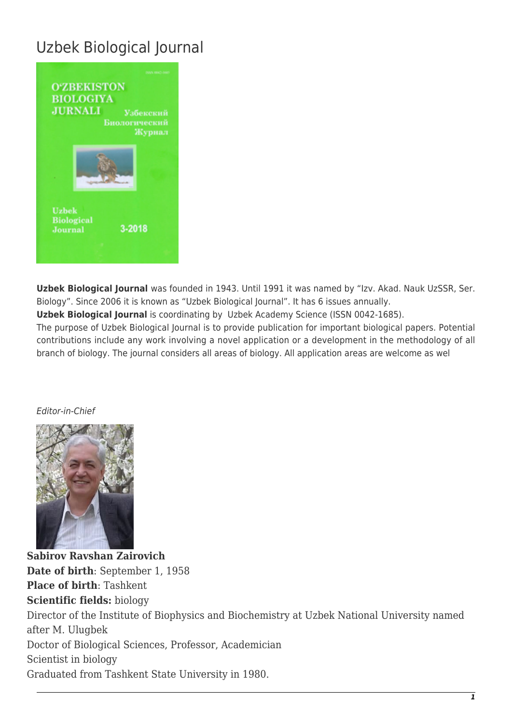## Uzbek Biological Journal



**Uzbek Biological Journal** was founded in 1943. Until 1991 it was named by "Izv. Akad. Nauk UzSSR, Ser. Biology". Since 2006 it is known as "Uzbek Biological Journal". It has 6 issues annually.

**Uzbek Biological Journal** is coordinating by Uzbek Academy Science (ISSN 0042-1685).

The purpose of Uzbek Biological Journal is to provide publication for important biological papers. Potential contributions include any work involving a novel application or a development in the methodology of all branch of biology. The journal considers all areas of biology. All application areas are welcome as wel

## Editor-in-Chief



**Sabirov Ravshan Zairovich Date of birth**: September 1, 1958 **Place of birth**: Tashkent **Scientific fields:** biology Director of the Institute of Biophysics and Biochemistry at Uzbek National University named after M. Ulugbek Doctor of Biological Sciences, Professor, Academician Scientist in biology Graduated from Tashkent State University in 1980.